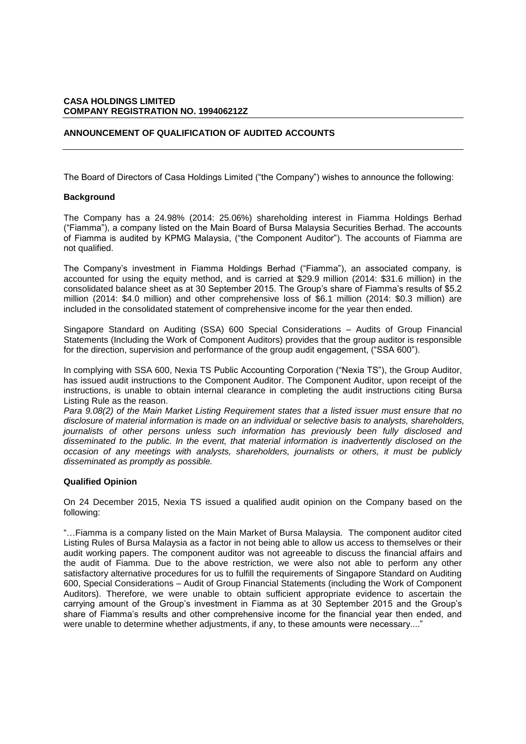## **ANNOUNCEMENT OF QUALIFICATION OF AUDITED ACCOUNTS**

The Board of Directors of Casa Holdings Limited ("the Company") wishes to announce the following:

## **Background**

The Company has a 24.98% (2014: 25.06%) shareholding interest in Fiamma Holdings Berhad ("Fiamma"), a company listed on the Main Board of Bursa Malaysia Securities Berhad. The accounts of Fiamma is audited by KPMG Malaysia, ("the Component Auditor"). The accounts of Fiamma are not qualified.

The Company's investment in Fiamma Holdings Berhad ("Fiamma"), an associated company, is accounted for using the equity method, and is carried at \$29.9 million (2014: \$31.6 million) in the consolidated balance sheet as at 30 September 2015. The Group's share of Fiamma's results of \$5.2 million (2014: \$4.0 million) and other comprehensive loss of \$6.1 million (2014: \$0.3 million) are included in the consolidated statement of comprehensive income for the year then ended.

Singapore Standard on Auditing (SSA) 600 Special Considerations – Audits of Group Financial Statements (Including the Work of Component Auditors) provides that the group auditor is responsible for the direction, supervision and performance of the group audit engagement, ("SSA 600").

In complying with SSA 600, Nexia TS Public Accounting Corporation ("Nexia TS"), the Group Auditor, has issued audit instructions to the Component Auditor. The Component Auditor, upon receipt of the instructions, is unable to obtain internal clearance in completing the audit instructions citing Bursa Listing Rule as the reason.

*Para 9.08(2) of the Main Market Listing Requirement states that a listed issuer must ensure that no disclosure of material information is made on an individual or selective basis to analysts, shareholders, journalists of other persons unless such information has previously been fully disclosed and disseminated to the public. In the event, that material information is inadvertently disclosed on the occasion of any meetings with analysts, shareholders, journalists or others, it must be publicly disseminated as promptly as possible.* 

## **Qualified Opinion**

On 24 December 2015, Nexia TS issued a qualified audit opinion on the Company based on the following:

"…Fiamma is a company listed on the Main Market of Bursa Malaysia. The component auditor cited Listing Rules of Bursa Malaysia as a factor in not being able to allow us access to themselves or their audit working papers. The component auditor was not agreeable to discuss the financial affairs and the audit of Fiamma. Due to the above restriction, we were also not able to perform any other satisfactory alternative procedures for us to fulfill the requirements of Singapore Standard on Auditing 600, Special Considerations – Audit of Group Financial Statements (including the Work of Component Auditors). Therefore, we were unable to obtain sufficient appropriate evidence to ascertain the carrying amount of the Group's investment in Fiamma as at 30 September 2015 and the Group's share of Fiamma's results and other comprehensive income for the financial year then ended, and were unable to determine whether adjustments, if any, to these amounts were necessary...."